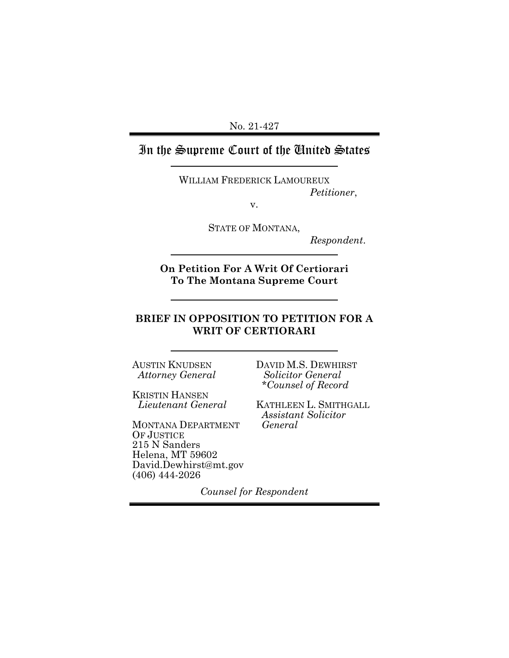No. 21-427

# In the Supreme Court of the United States

WILLIAM FREDERICK LAMOUREUX *Petitioner*,

v.

STATE OF MONTANA,

*Respondent*.

**On Petition For A Writ Of Certiorari To The Montana Supreme Court** 

## **BRIEF IN OPPOSITION TO PETITION FOR A WRIT OF CERTIORARI**

AUSTIN KNUDSEN *Attorney General*

KRISTIN HANSEN *Lieutenant General*

MONTANA DEPARTMENT OF JUSTICE 215 N Sanders Helena, MT 59602 David.Dewhirst@mt.gov (406) 444-2026

DAVID M.S. DEWHIRST *Solicitor General \*Counsel of Record*

KATHLEEN L. SMITHGALL *Assistant Solicitor General*

*Counsel for Respondent*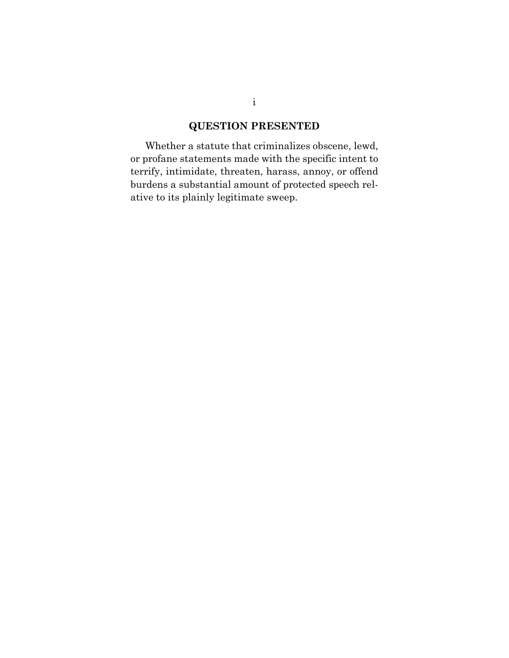# **QUESTION PRESENTED**

Whether a statute that criminalizes obscene, lewd, or profane statements made with the specific intent to terrify, intimidate, threaten, harass, annoy, or offend burdens a substantial amount of protected speech relative to its plainly legitimate sweep.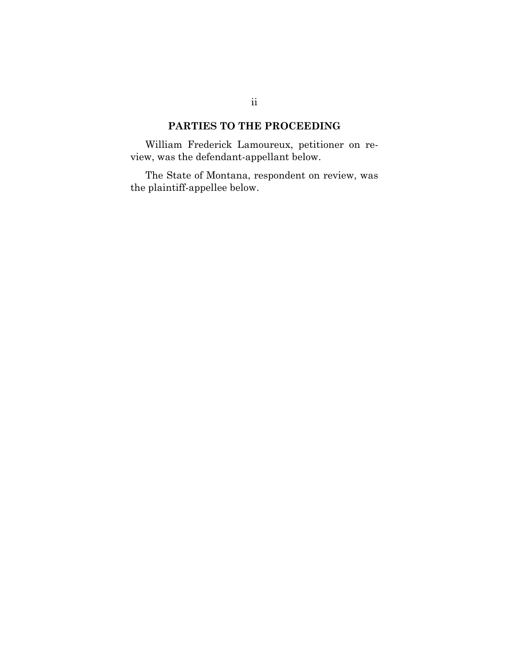## **PARTIES TO THE PROCEEDING**

William Frederick Lamoureux, petitioner on review, was the defendant-appellant below.

The State of Montana, respondent on review, was the plaintiff-appellee below.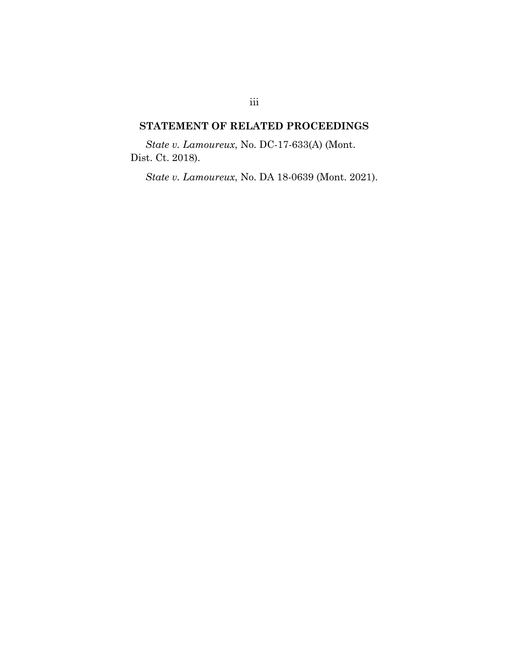## **STATEMENT OF RELATED PROCEEDINGS**

*State v. Lamoureux*, No. DC-17-633(A) (Mont. Dist. Ct. 2018).

*State v. Lamoureux*, No. DA 18-0639 (Mont. 2021).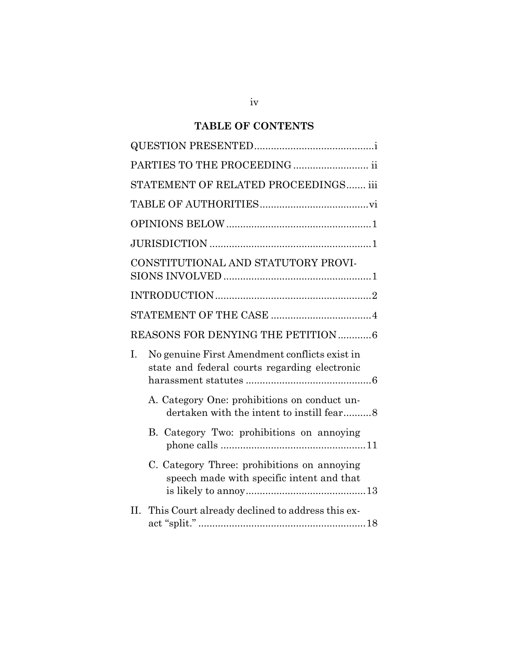## **TABLE OF CONTENTS**

|                                     | PARTIES TO THE PROCEEDING  ii                                                                  |
|-------------------------------------|------------------------------------------------------------------------------------------------|
|                                     | STATEMENT OF RELATED PROCEEDINGS iii                                                           |
|                                     |                                                                                                |
|                                     |                                                                                                |
|                                     |                                                                                                |
| CONSTITUTIONAL AND STATUTORY PROVI- |                                                                                                |
|                                     |                                                                                                |
|                                     |                                                                                                |
|                                     | REASONS FOR DENYING THE PETITION 6                                                             |
| I.                                  | No genuine First Amendment conflicts exist in<br>state and federal courts regarding electronic |
|                                     | A. Category One: prohibitions on conduct un-<br>dertaken with the intent to instill fear8      |
|                                     | B. Category Two: prohibitions on annoying                                                      |
|                                     | C. Category Three: prohibitions on annoying<br>speech made with specific intent and that       |
| Н.                                  | This Court already declined to address this ex-                                                |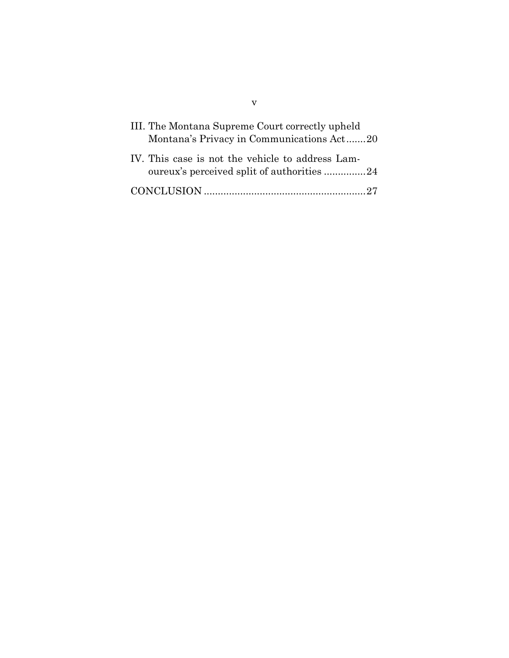| III. The Montana Supreme Court correctly upheld<br>Montana's Privacy in Communications Act20    |
|-------------------------------------------------------------------------------------------------|
| IV. This case is not the vehicle to address Lam-<br>our eux's perceived split of authorities 24 |
|                                                                                                 |

v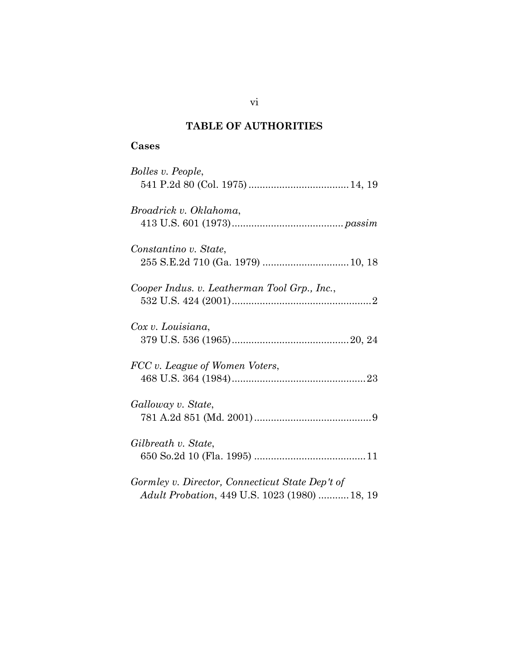## **TABLE OF AUTHORITIES**

## **Cases**

| Bolles v. People,                               |
|-------------------------------------------------|
|                                                 |
| Broadrick v. Oklahoma,                          |
|                                                 |
| Constantino v. State,                           |
|                                                 |
| Cooper Indus. v. Leatherman Tool Grp., Inc.,    |
|                                                 |
| Cox v. Louisiana,                               |
|                                                 |
| FCC v. League of Women Voters,                  |
|                                                 |
| Galloway v. State,                              |
|                                                 |
| Gilbreath v. State,                             |
|                                                 |
| Gormley v. Director, Connecticut State Dep't of |
| Adult Probation, 449 U.S. 1023 (1980)  18, 19   |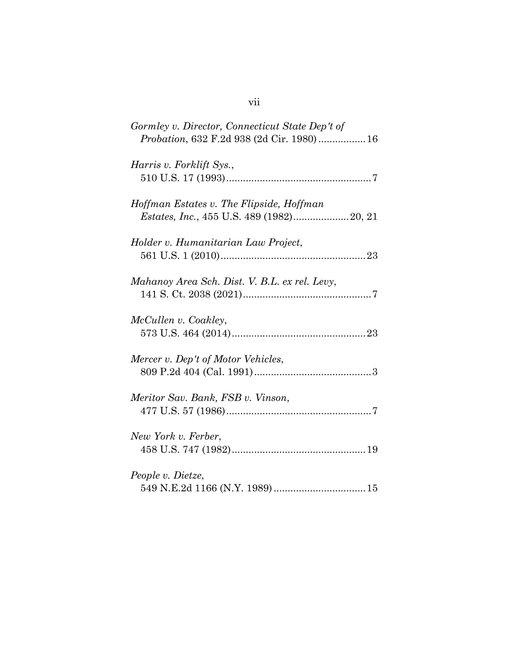| Gormley v. Director, Connecticut State Dep't of<br>Probation, 632 F.2d 938 (2d Cir. 1980) 16 |
|----------------------------------------------------------------------------------------------|
| Harris v. Forklift Sys.,                                                                     |
| Hoffman Estates v. The Flipside, Hoffman<br><i>Estates, Inc., 455 U.S. 489 (1982)</i> 20, 21 |
| Holder v. Humanitarian Law Project,                                                          |
| Mahanoy Area Sch. Dist. V. B.L. ex rel. Levy,                                                |
| McCullen v. Coakley,                                                                         |
| Mercer v. Dep't of Motor Vehicles,                                                           |
| Meritor Sav. Bank, FSB v. Vinson,                                                            |
| New York v. Ferber,                                                                          |
| People v. Dietze,                                                                            |

## vii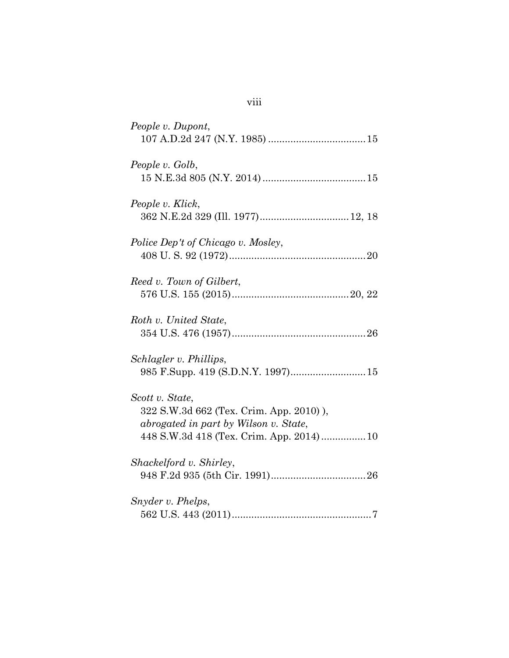| People v. Dupont,                                                                                                                               |
|-------------------------------------------------------------------------------------------------------------------------------------------------|
| People v. Golb,                                                                                                                                 |
| People v. Klick,<br>362 N.E.2d 329 (Ill. 1977) 12, 18                                                                                           |
| Police Dep't of Chicago v. Mosley,                                                                                                              |
| Reed v. Town of Gilbert,                                                                                                                        |
| Roth v. United State,                                                                                                                           |
| Schlagler v. Phillips,                                                                                                                          |
| Scott v. State,<br>322 S.W.3d 662 (Tex. Crim. App. 2010)),<br>abrogated in part by Wilson v. State,<br>448 S.W.3d 418 (Tex. Crim. App. 2014) 10 |
| Shackelford v. Shirley,                                                                                                                         |
| Snyder v. Phelps,                                                                                                                               |

viii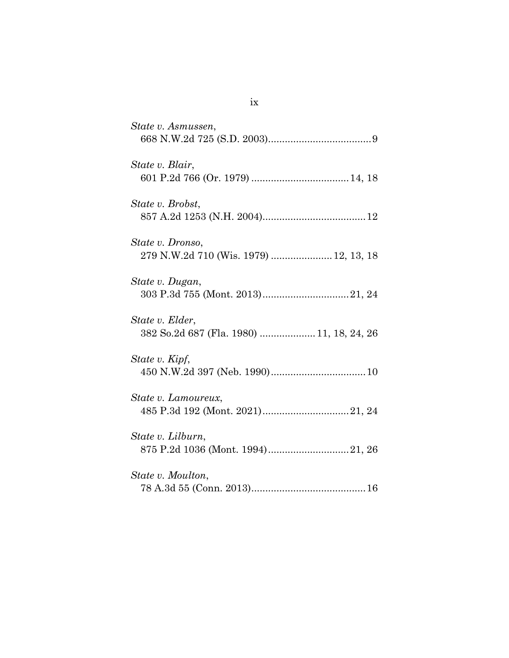| State v. Asmussen,                                           |
|--------------------------------------------------------------|
| State v. Blair,                                              |
| State v. Brobst,                                             |
| State v. Dronso,                                             |
| State v. Dugan,                                              |
| State v. Elder,<br>382 So.2d 687 (Fla. 1980)  11, 18, 24, 26 |
| State v. Kipf,                                               |
| State v. Lamoureux,                                          |
| State v. Lilburn,                                            |
| State v. Moulton,                                            |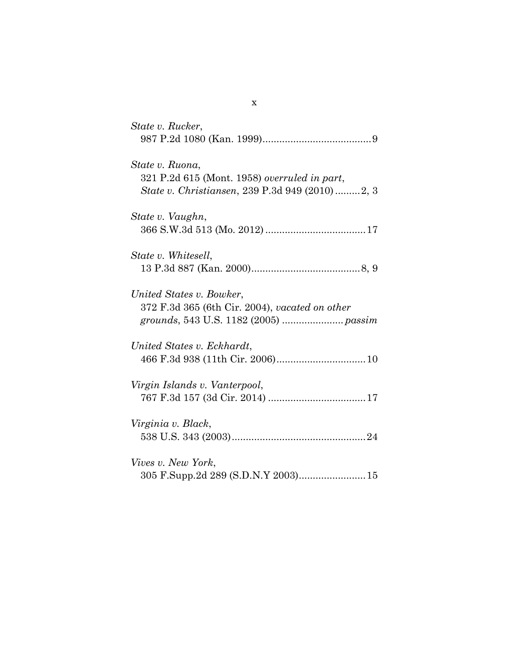| State v. Rucker,                                                                                                  |
|-------------------------------------------------------------------------------------------------------------------|
| State v. Ruona,<br>321 P.2d 615 (Mont. 1958) overruled in part,<br>State v. Christiansen, 239 P.3d 949 (2010)2, 3 |
| State v. Vaughn,                                                                                                  |
| State v. Whitesell,                                                                                               |
| United States v. Bowker,<br>372 F.3d 365 (6th Cir. 2004), vacated on other                                        |
| United States v. Eckhardt,                                                                                        |
| Virgin Islands v. Vanterpool,                                                                                     |
| Virginia v. Black,                                                                                                |
| Vives v. New York,<br>305 F.Supp.2d 289 (S.D.N.Y 2003) 15                                                         |

x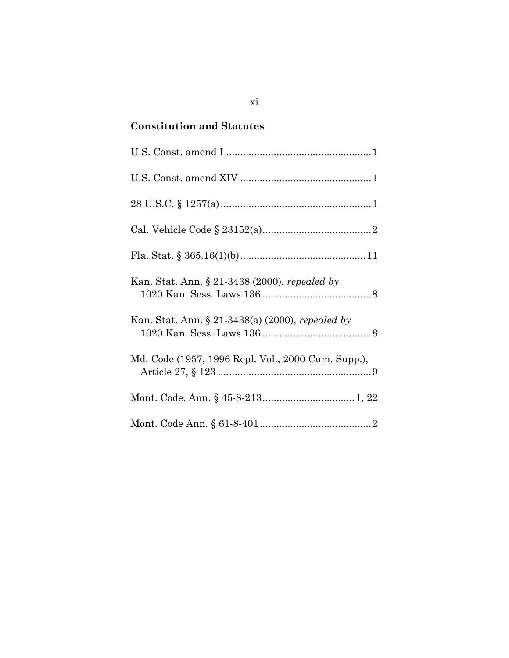# **Constitution and Statutes**

| Kan. Stat. Ann. § 21-3438 (2000), repealed by      |
|----------------------------------------------------|
| Kan. Stat. Ann. § 21-3438(a) (2000), repealed by   |
| Md. Code (1957, 1996 Repl. Vol., 2000 Cum. Supp.), |
|                                                    |
|                                                    |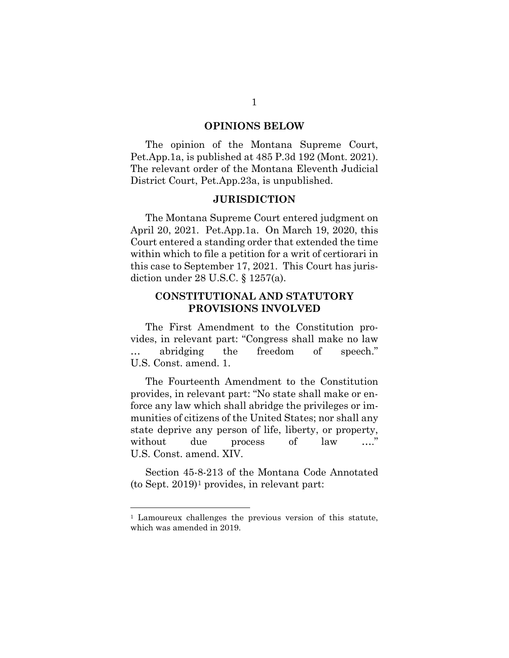#### **OPINIONS BELOW**

The opinion of the Montana Supreme Court, Pet.App.1a, is published at 485 P.3d 192 (Mont. 2021). The relevant order of the Montana Eleventh Judicial District Court, Pet.App.23a, is unpublished.

#### **JURISDICTION**

The Montana Supreme Court entered judgment on April 20, 2021. Pet.App.1a. On March 19, 2020, this Court entered a standing order that extended the time within which to file a petition for a writ of certiorari in this case to September 17, 2021. This Court has jurisdiction under 28 U.S.C. § 1257(a).

## **CONSTITUTIONAL AND STATUTORY PROVISIONS INVOLVED**

The First Amendment to the Constitution provides, in relevant part: "Congress shall make no law … abridging the freedom of speech." U.S. Const. amend. 1.

The Fourteenth Amendment to the Constitution provides, in relevant part: "No state shall make or enforce any law which shall abridge the privileges or immunities of citizens of the United States; nor shall any state deprive any person of life, liberty, or property, without due process of law ...." U.S. Const. amend. XIV.

Section 45-8-213 of the Montana Code Annotated (to Sept. 2019)[1](#page-12-0) provides, in relevant part:

<span id="page-12-0"></span><sup>&</sup>lt;sup>1</sup> Lamoureux challenges the previous version of this statute, which was amended in 2019.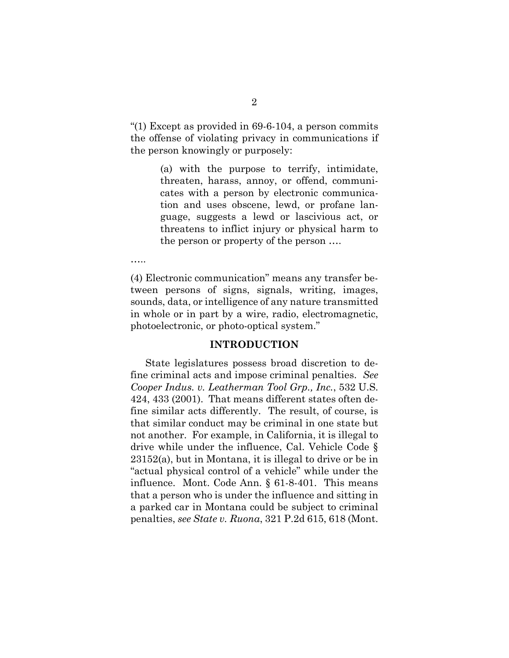"(1) Except as provided in 69-6-104, a person commits the offense of violating privacy in communications if the person knowingly or purposely:

> (a) with the purpose to terrify, intimidate, threaten, harass, annoy, or offend, communicates with a person by electronic communication and uses obscene, lewd, or profane language, suggests a lewd or lascivious act, or threatens to inflict injury or physical harm to the person or property of the person ….

…..

(4) Electronic communication" means any transfer between persons of signs, signals, writing, images, sounds, data, or intelligence of any nature transmitted in whole or in part by a wire, radio, electromagnetic, photoelectronic, or photo-optical system."

#### **INTRODUCTION**

State legislatures possess broad discretion to define criminal acts and impose criminal penalties. *See Cooper Indus. v. Leatherman Tool Grp., Inc.*, 532 U.S. 424, 433 (2001). That means different states often define similar acts differently. The result, of course, is that similar conduct may be criminal in one state but not another. For example, in California, it is illegal to drive while under the influence, Cal. Vehicle Code § 23152(a), but in Montana, it is illegal to drive or be in "actual physical control of a vehicle" while under the influence. Mont. Code Ann. § 61-8-401. This means that a person who is under the influence and sitting in a parked car in Montana could be subject to criminal penalties, *see State v. Ruona*, 321 P.2d 615, 618 (Mont.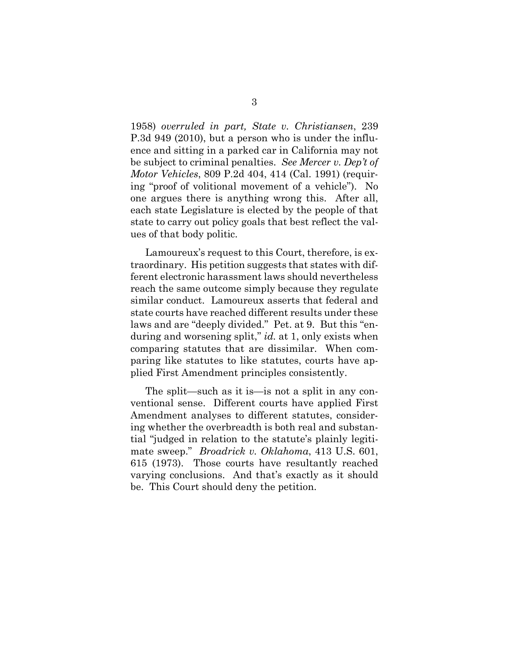1958) *overruled in part, State v. Christiansen*, 239 P.3d 949 (2010), but a person who is under the influence and sitting in a parked car in California may not be subject to criminal penalties. *See Mercer v. Dep't of Motor Vehicles*, 809 P.2d 404, 414 (Cal. 1991) (requiring "proof of volitional movement of a vehicle"). No one argues there is anything wrong this. After all, each state Legislature is elected by the people of that state to carry out policy goals that best reflect the values of that body politic.

Lamoureux's request to this Court, therefore, is extraordinary. His petition suggests that states with different electronic harassment laws should nevertheless reach the same outcome simply because they regulate similar conduct. Lamoureux asserts that federal and state courts have reached different results under these laws and are "deeply divided." Pet. at 9. But this "enduring and worsening split," *id.* at 1, only exists when comparing statutes that are dissimilar. When comparing like statutes to like statutes, courts have applied First Amendment principles consistently.

The split—such as it is—is not a split in any conventional sense. Different courts have applied First Amendment analyses to different statutes, considering whether the overbreadth is both real and substantial "judged in relation to the statute's plainly legitimate sweep." *Broadrick v. Oklahoma*, 413 U.S. 601, 615 (1973). Those courts have resultantly reached varying conclusions. And that's exactly as it should be. This Court should deny the petition.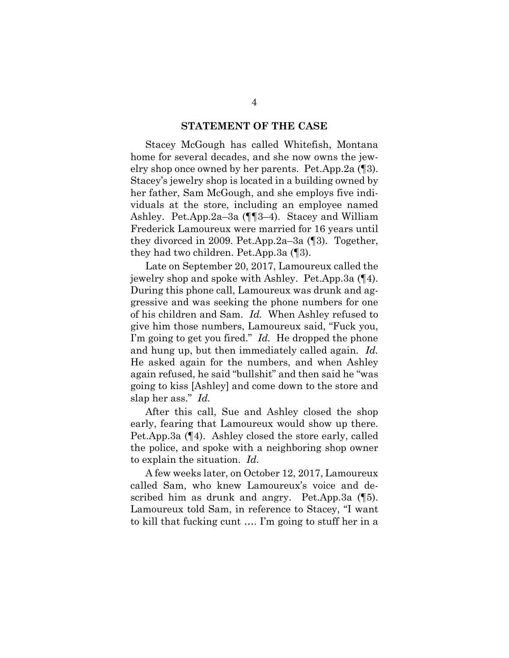#### **STATEMENT OF THE CASE**

Stacey McGough has called Whitefish, Montana home for several decades, and she now owns the jewelry shop once owned by her parents. Pet.App.2a (¶3). Stacey's jewelry shop is located in a building owned by her father, Sam McGough, and she employs five individuals at the store, including an employee named Ashley. Pet.App.2a–3a (¶¶3–4). Stacey and William Frederick Lamoureux were married for 16 years until they divorced in 2009. Pet.App.2a–3a (¶3). Together, they had two children. Pet.App.3a (¶3).

Late on September 20, 2017, Lamoureux called the jewelry shop and spoke with Ashley. Pet.App.3a (¶4). During this phone call, Lamoureux was drunk and aggressive and was seeking the phone numbers for one of his children and Sam. *Id.* When Ashley refused to give him those numbers, Lamoureux said, "Fuck you, I'm going to get you fired." *Id.* He dropped the phone and hung up, but then immediately called again. *Id.* He asked again for the numbers, and when Ashley again refused, he said "bullshit" and then said he "was going to kiss [Ashley] and come down to the store and slap her ass." *Id.*

After this call, Sue and Ashley closed the shop early, fearing that Lamoureux would show up there. Pet.App.3a (¶4). Ashley closed the store early, called the police, and spoke with a neighboring shop owner to explain the situation. *Id.*

A few weeks later, on October 12, 2017, Lamoureux called Sam, who knew Lamoureux's voice and described him as drunk and angry. Pet.App.3a (¶5). Lamoureux told Sam, in reference to Stacey, "I want to kill that fucking cunt …. I'm going to stuff her in a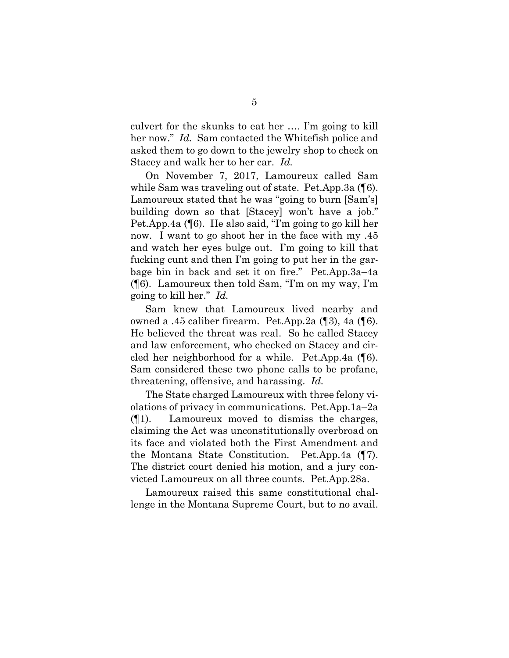culvert for the skunks to eat her …. I'm going to kill her now." *Id.* Sam contacted the Whitefish police and asked them to go down to the jewelry shop to check on Stacey and walk her to her car. *Id.*

On November 7, 2017, Lamoureux called Sam while Sam was traveling out of state. Pet.App.3a (¶6). Lamoureux stated that he was "going to burn [Sam's] building down so that [Stacey] won't have a job." Pet.App.4a (¶6). He also said, "I'm going to go kill her now. I want to go shoot her in the face with my .45 and watch her eyes bulge out. I'm going to kill that fucking cunt and then I'm going to put her in the garbage bin in back and set it on fire." Pet.App.3a–4a (¶6). Lamoureux then told Sam, "I'm on my way, I'm going to kill her." *Id.*

Sam knew that Lamoureux lived nearby and owned a .45 caliber firearm. Pet.App.2a (¶3), 4a (¶6). He believed the threat was real. So he called Stacey and law enforcement, who checked on Stacey and circled her neighborhood for a while. Pet.App.4a (¶6). Sam considered these two phone calls to be profane, threatening, offensive, and harassing. *Id.*

The State charged Lamoureux with three felony violations of privacy in communications. Pet.App.1a–2a (¶1). Lamoureux moved to dismiss the charges, claiming the Act was unconstitutionally overbroad on its face and violated both the First Amendment and the Montana State Constitution. Pet.App.4a (¶7). The district court denied his motion, and a jury convicted Lamoureux on all three counts. Pet.App.28a.

Lamoureux raised this same constitutional challenge in the Montana Supreme Court, but to no avail.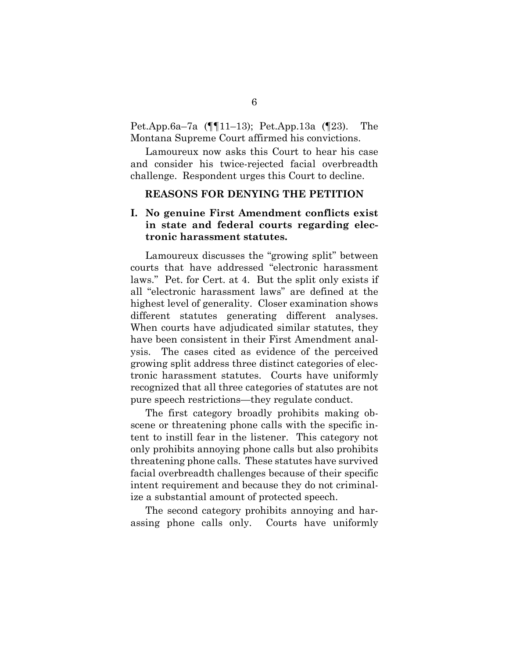Pet.App.6a–7a (¶¶11–13); Pet.App.13a (¶23). The Montana Supreme Court affirmed his convictions.

Lamoureux now asks this Court to hear his case and consider his twice-rejected facial overbreadth challenge. Respondent urges this Court to decline.

### **REASONS FOR DENYING THE PETITION**

## **I. No genuine First Amendment conflicts exist in state and federal courts regarding electronic harassment statutes.**

Lamoureux discusses the "growing split" between courts that have addressed "electronic harassment laws." Pet. for Cert. at 4. But the split only exists if all "electronic harassment laws" are defined at the highest level of generality. Closer examination shows different statutes generating different analyses. When courts have adjudicated similar statutes, they have been consistent in their First Amendment analysis. The cases cited as evidence of the perceived growing split address three distinct categories of electronic harassment statutes. Courts have uniformly recognized that all three categories of statutes are not pure speech restrictions—they regulate conduct.

The first category broadly prohibits making obscene or threatening phone calls with the specific intent to instill fear in the listener. This category not only prohibits annoying phone calls but also prohibits threatening phone calls. These statutes have survived facial overbreadth challenges because of their specific intent requirement and because they do not criminalize a substantial amount of protected speech.

The second category prohibits annoying and harassing phone calls only. Courts have uniformly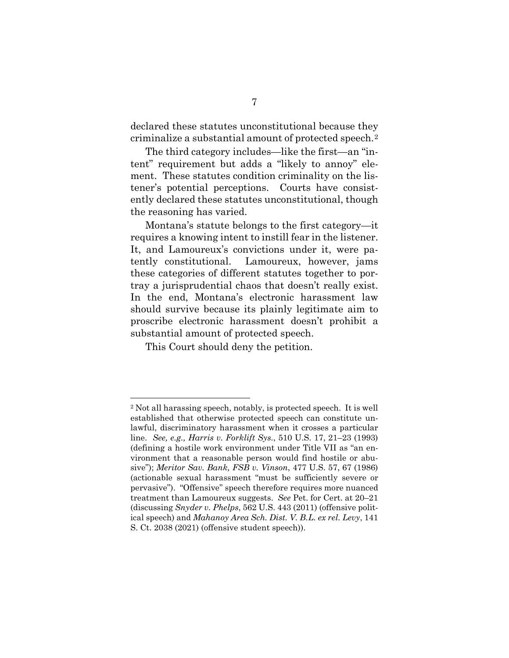declared these statutes unconstitutional because they criminalize a substantial amount of protected speech.[2](#page-18-0)

The third category includes—like the first—an "intent" requirement but adds a "likely to annoy" element. These statutes condition criminality on the listener's potential perceptions. Courts have consistently declared these statutes unconstitutional, though the reasoning has varied.

Montana's statute belongs to the first category—it requires a knowing intent to instill fear in the listener. It, and Lamoureux's convictions under it, were patently constitutional. Lamoureux, however, jams these categories of different statutes together to portray a jurisprudential chaos that doesn't really exist. In the end, Montana's electronic harassment law should survive because its plainly legitimate aim to proscribe electronic harassment doesn't prohibit a substantial amount of protected speech.

This Court should deny the petition.

<span id="page-18-0"></span><sup>2</sup> Not all harassing speech, notably, is protected speech. It is well established that otherwise protected speech can constitute unlawful, discriminatory harassment when it crosses a particular line. *See, e.g., Harris v. Forklift Sys.*, 510 U.S. 17, 21–23 (1993) (defining a hostile work environment under Title VII as "an environment that a reasonable person would find hostile or abusive"); *Meritor Sav. Bank, FSB v. Vinson*, 477 U.S. 57, 67 (1986) (actionable sexual harassment "must be sufficiently severe or pervasive"). "Offensive" speech therefore requires more nuanced treatment than Lamoureux suggests. *See* Pet. for Cert. at 20–21 (discussing *Snyder v. Phelps*, 562 U.S. 443 (2011) (offensive political speech) and *Mahanoy Area Sch. Dist. V. B.L. ex rel. Levy*, 141 S. Ct. 2038 (2021) (offensive student speech)).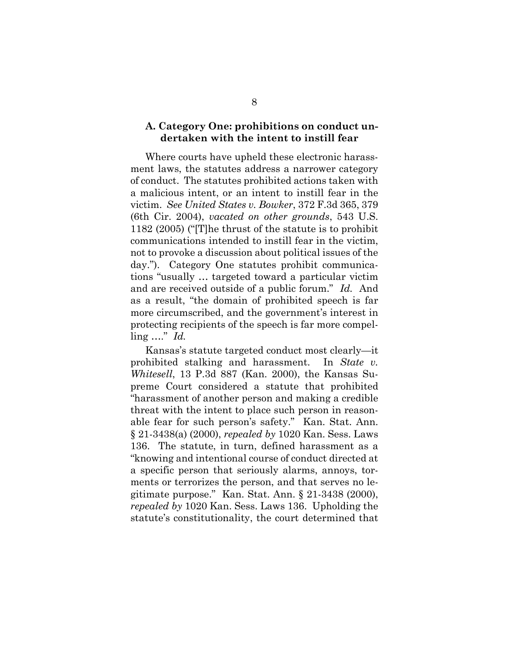### **A. Category One: prohibitions on conduct undertaken with the intent to instill fear**

Where courts have upheld these electronic harassment laws, the statutes address a narrower category of conduct. The statutes prohibited actions taken with a malicious intent, or an intent to instill fear in the victim. *See United States v. Bowker*, 372 F.3d 365, 379 (6th Cir. 2004), *vacated on other grounds*, 543 U.S. 1182 (2005) ("[T]he thrust of the statute is to prohibit communications intended to instill fear in the victim, not to provoke a discussion about political issues of the day."). Category One statutes prohibit communications "usually … targeted toward a particular victim and are received outside of a public forum." *Id.* And as a result, "the domain of prohibited speech is far more circumscribed, and the government's interest in protecting recipients of the speech is far more compelling …." *Id.* 

Kansas's statute targeted conduct most clearly—it prohibited stalking and harassment. In *State v. Whitesell*, 13 P.3d 887 (Kan. 2000), the Kansas Supreme Court considered a statute that prohibited "harassment of another person and making a credible threat with the intent to place such person in reasonable fear for such person's safety." Kan. Stat. Ann. § 21-3438(a) (2000), *repealed by* 1020 Kan. Sess. Laws 136. The statute, in turn, defined harassment as a "knowing and intentional course of conduct directed at a specific person that seriously alarms, annoys, torments or terrorizes the person, and that serves no legitimate purpose." Kan. Stat. Ann. § 21-3438 (2000), *repealed by* 1020 Kan. Sess. Laws 136. Upholding the statute's constitutionality, the court determined that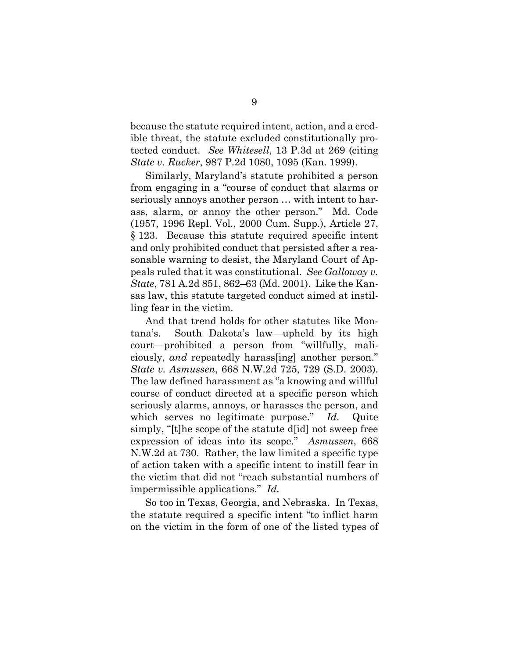because the statute required intent, action, and a credible threat, the statute excluded constitutionally protected conduct. *See Whitesell*, 13 P.3d at 269 (citing *State v. Rucker*, 987 P.2d 1080, 1095 (Kan. 1999).

Similarly, Maryland's statute prohibited a person from engaging in a "course of conduct that alarms or seriously annoys another person … with intent to harass, alarm, or annoy the other person." Md. Code (1957, 1996 Repl. Vol., 2000 Cum. Supp.), Article 27, § 123. Because this statute required specific intent and only prohibited conduct that persisted after a reasonable warning to desist, the Maryland Court of Appeals ruled that it was constitutional. *See Galloway v. State*, 781 A.2d 851, 862–63 (Md. 2001). Like the Kansas law, this statute targeted conduct aimed at instilling fear in the victim.

And that trend holds for other statutes like Montana's. South Dakota's law—upheld by its high court—prohibited a person from "willfully, maliciously, *and* repeatedly harass[ing] another person." *State v. Asmussen*, 668 N.W.2d 725, 729 (S.D. 2003). The law defined harassment as "a knowing and willful course of conduct directed at a specific person which seriously alarms, annoys, or harasses the person, and which serves no legitimate purpose." *Id.* Quite simply, "[t]he scope of the statute d[id] not sweep free expression of ideas into its scope." *Asmussen*, 668 N.W.2d at 730. Rather, the law limited a specific type of action taken with a specific intent to instill fear in the victim that did not "reach substantial numbers of impermissible applications." *Id.*

So too in Texas, Georgia, and Nebraska. In Texas, the statute required a specific intent "to inflict harm on the victim in the form of one of the listed types of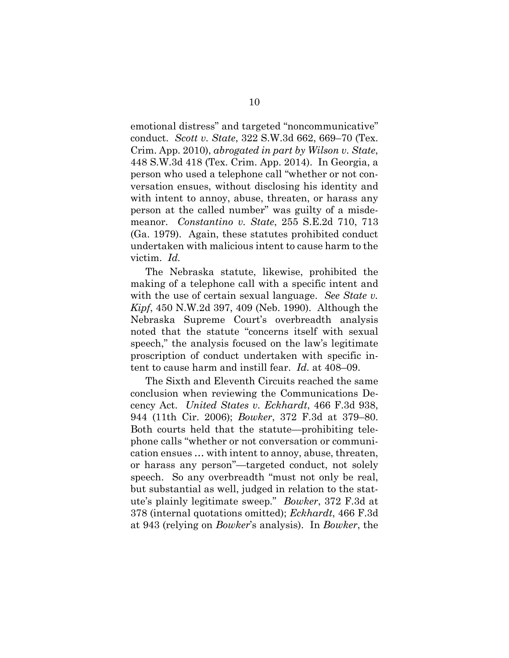emotional distress" and targeted "noncommunicative" conduct. *Scott v. State*, 322 S.W.3d 662, 669–70 (Tex. Crim. App. 2010), *abrogated in part by Wilson v. State*, 448 S.W.3d 418 (Tex. Crim. App. 2014). In Georgia, a person who used a telephone call "whether or not conversation ensues, without disclosing his identity and with intent to annoy, abuse, threaten, or harass any person at the called number" was guilty of a misdemeanor. *Constantino v. State*, 255 S.E.2d 710, 713 (Ga. 1979). Again, these statutes prohibited conduct undertaken with malicious intent to cause harm to the victim. *Id.*

The Nebraska statute, likewise, prohibited the making of a telephone call with a specific intent and with the use of certain sexual language. *See State v. Kipf*, 450 N.W.2d 397, 409 (Neb. 1990). Although the Nebraska Supreme Court's overbreadth analysis noted that the statute "concerns itself with sexual speech," the analysis focused on the law's legitimate proscription of conduct undertaken with specific intent to cause harm and instill fear. *Id.* at 408–09.

The Sixth and Eleventh Circuits reached the same conclusion when reviewing the Communications Decency Act. *United States v. Eckhardt*, 466 F.3d 938, 944 (11th Cir. 2006); *Bowker*, 372 F.3d at 379–80. Both courts held that the statute—prohibiting telephone calls "whether or not conversation or communication ensues … with intent to annoy, abuse, threaten, or harass any person"—targeted conduct, not solely speech. So any overbreadth "must not only be real, but substantial as well, judged in relation to the statute's plainly legitimate sweep." *Bowker*, 372 F.3d at 378 (internal quotations omitted); *Eckhardt*, 466 F.3d at 943 (relying on *Bowker*'s analysis). In *Bowker*, the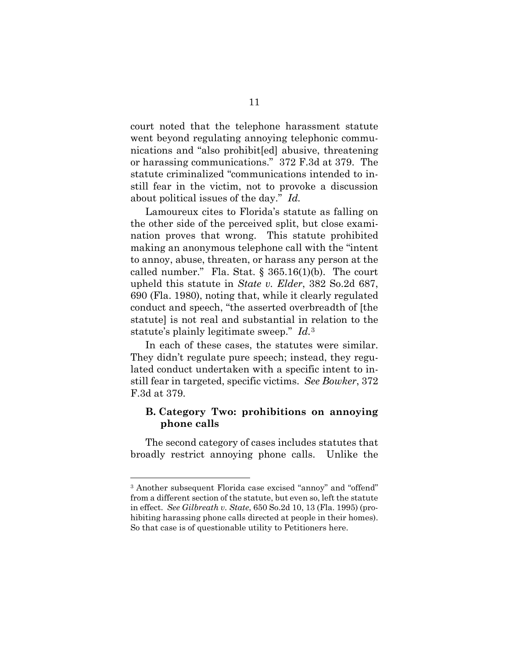court noted that the telephone harassment statute went beyond regulating annoying telephonic communications and "also prohibit[ed] abusive, threatening or harassing communications." 372 F.3d at 379. The statute criminalized "communications intended to instill fear in the victim, not to provoke a discussion about political issues of the day." *Id.*

Lamoureux cites to Florida's statute as falling on the other side of the perceived split, but close examination proves that wrong. This statute prohibited making an anonymous telephone call with the "intent to annoy, abuse, threaten, or harass any person at the called number." Fla. Stat.  $\S 365.16(1)(b)$ . The court upheld this statute in *State v. Elder*, 382 So.2d 687, 690 (Fla. 1980), noting that, while it clearly regulated conduct and speech, "the asserted overbreadth of [the statute] is not real and substantial in relation to the statute's plainly legitimate sweep." *Id.*[3](#page-22-0) 

In each of these cases, the statutes were similar. They didn't regulate pure speech; instead, they regulated conduct undertaken with a specific intent to instill fear in targeted, specific victims. *See Bowker*, 372 F.3d at 379.

### **B. Category Two: prohibitions on annoying phone calls**

The second category of cases includes statutes that broadly restrict annoying phone calls. Unlike the

<span id="page-22-0"></span><sup>&</sup>lt;sup>3</sup> Another subsequent Florida case excised "annoy" and "offend" from a different section of the statute, but even so, left the statute in effect. *See Gilbreath v. State*, 650 So.2d 10, 13 (Fla. 1995) (prohibiting harassing phone calls directed at people in their homes). So that case is of questionable utility to Petitioners here.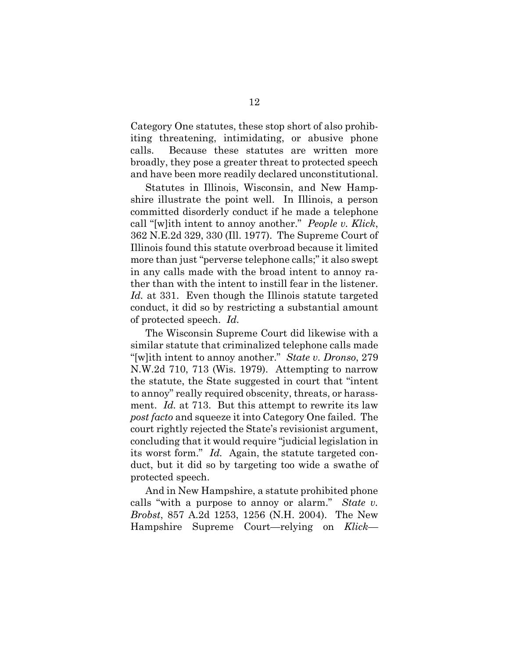Category One statutes, these stop short of also prohibiting threatening, intimidating, or abusive phone calls. Because these statutes are written more broadly, they pose a greater threat to protected speech and have been more readily declared unconstitutional.

Statutes in Illinois, Wisconsin, and New Hampshire illustrate the point well. In Illinois, a person committed disorderly conduct if he made a telephone call "[w]ith intent to annoy another." *People v. Klick*, 362 N.E.2d 329, 330 (Ill. 1977). The Supreme Court of Illinois found this statute overbroad because it limited more than just "perverse telephone calls;" it also swept in any calls made with the broad intent to annoy rather than with the intent to instill fear in the listener. *Id.* at 331. Even though the Illinois statute targeted conduct, it did so by restricting a substantial amount of protected speech. *Id.*

The Wisconsin Supreme Court did likewise with a similar statute that criminalized telephone calls made "[w]ith intent to annoy another." *State v. Dronso*, 279 N.W.2d 710, 713 (Wis. 1979). Attempting to narrow the statute, the State suggested in court that "intent to annoy" really required obscenity, threats, or harassment. *Id.* at 713. But this attempt to rewrite its law *post facto* and squeeze it into Category One failed. The court rightly rejected the State's revisionist argument, concluding that it would require "judicial legislation in its worst form." *Id.* Again, the statute targeted conduct, but it did so by targeting too wide a swathe of protected speech.

And in New Hampshire, a statute prohibited phone calls "with a purpose to annoy or alarm." *State v. Brobst*, 857 A.2d 1253, 1256 (N.H. 2004). The New Hampshire Supreme Court—relying on *Klick*—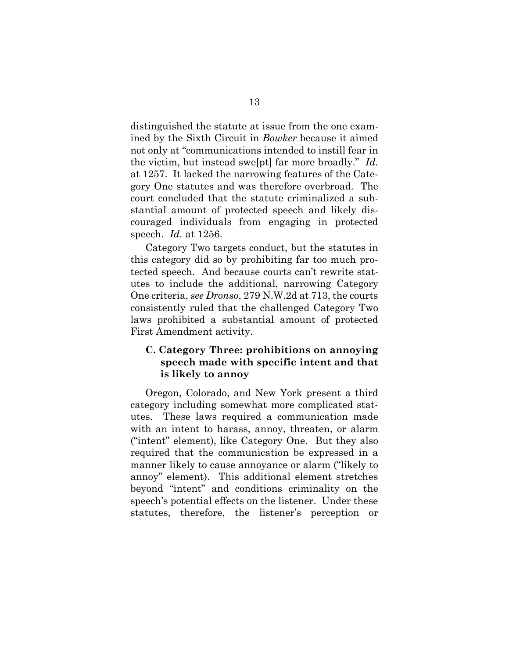distinguished the statute at issue from the one examined by the Sixth Circuit in *Bowker* because it aimed not only at "communications intended to instill fear in the victim, but instead swe[pt] far more broadly." *Id.* at 1257. It lacked the narrowing features of the Category One statutes and was therefore overbroad. The court concluded that the statute criminalized a substantial amount of protected speech and likely discouraged individuals from engaging in protected speech. *Id.* at 1256.

Category Two targets conduct, but the statutes in this category did so by prohibiting far too much protected speech.And because courts can't rewrite statutes to include the additional, narrowing Category One criteria, *see Dronso*, 279 N.W.2d at 713, the courts consistently ruled that the challenged Category Two laws prohibited a substantial amount of protected First Amendment activity.

## **C. Category Three: prohibitions on annoying speech made with specific intent and that is likely to annoy**

Oregon, Colorado, and New York present a third category including somewhat more complicated statutes. These laws required a communication made with an intent to harass, annoy, threaten, or alarm ("intent" element), like Category One. But they also required that the communication be expressed in a manner likely to cause annoyance or alarm ("likely to annoy" element). This additional element stretches beyond "intent" and conditions criminality on the speech's potential effects on the listener. Under these statutes, therefore, the listener's perception or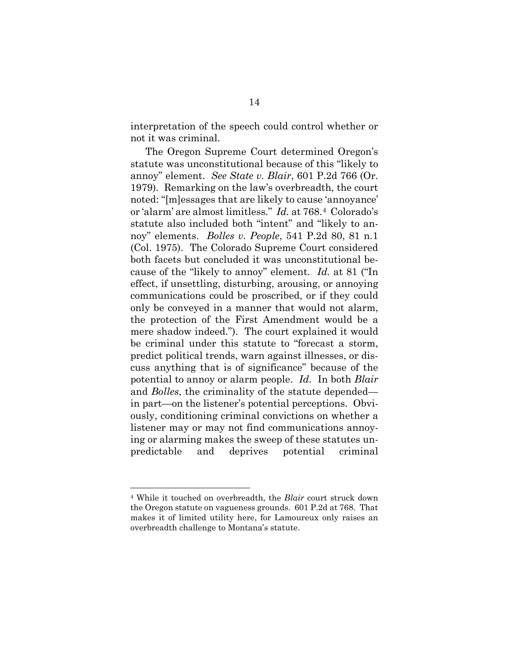interpretation of the speech could control whether or not it was criminal.

The Oregon Supreme Court determined Oregon's statute was unconstitutional because of this "likely to annoy" element. *See State v. Blair*, 601 P.2d 766 (Or. 1979). Remarking on the law's overbreadth, the court noted: "[m]essages that are likely to cause 'annoyance' or 'alarm' are almost limitless." *Id.* at 768.[4](#page-25-0) Colorado's statute also included both "intent" and "likely to annoy" elements. *Bolles v. People*, 541 P.2d 80, 81 n.1 (Col. 1975). The Colorado Supreme Court considered both facets but concluded it was unconstitutional because of the "likely to annoy" element. *Id.* at 81 ("In effect, if unsettling, disturbing, arousing, or annoying communications could be proscribed, or if they could only be conveyed in a manner that would not alarm, the protection of the First Amendment would be a mere shadow indeed."). The court explained it would be criminal under this statute to "forecast a storm, predict political trends, warn against illnesses, or discuss anything that is of significance" because of the potential to annoy or alarm people. *Id.* In both *Blair* and *Bolles*, the criminality of the statute depended in part—on the listener's potential perceptions. Obviously, conditioning criminal convictions on whether a listener may or may not find communications annoying or alarming makes the sweep of these statutes unpredictable and deprives potential criminal

<span id="page-25-0"></span><sup>4</sup> While it touched on overbreadth, the *Blair* court struck down the Oregon statute on vagueness grounds. 601 P.2d at 768. That makes it of limited utility here, for Lamoureux only raises an overbreadth challenge to Montana's statute.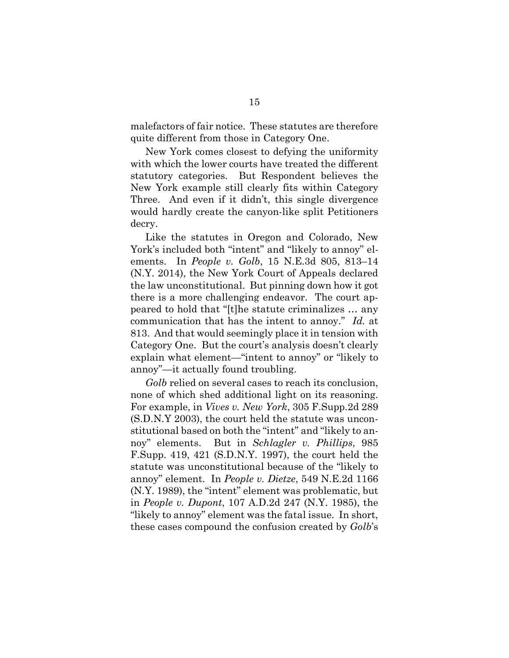malefactors of fair notice. These statutes are therefore quite different from those in Category One.

New York comes closest to defying the uniformity with which the lower courts have treated the different statutory categories. But Respondent believes the New York example still clearly fits within Category Three. And even if it didn't, this single divergence would hardly create the canyon-like split Petitioners decry.

Like the statutes in Oregon and Colorado, New York's included both "intent" and "likely to annoy" elements. In *People v. Golb*, 15 N.E.3d 805, 813–14 (N.Y. 2014), the New York Court of Appeals declared the law unconstitutional. But pinning down how it got there is a more challenging endeavor. The court appeared to hold that "[t]he statute criminalizes … any communication that has the intent to annoy." *Id.* at 813. And that would seemingly place it in tension with Category One. But the court's analysis doesn't clearly explain what element—"intent to annoy" or "likely to annoy"—it actually found troubling.

*Golb* relied on several cases to reach its conclusion, none of which shed additional light on its reasoning. For example, in *Vives v. New York*, 305 F.Supp.2d 289 (S.D.N.Y 2003), the court held the statute was unconstitutional based on both the "intent" and "likely to annoy" elements. But in *Schlagler v. Phillips*, 985 F.Supp. 419, 421 (S.D.N.Y. 1997), the court held the statute was unconstitutional because of the "likely to annoy" element. In *People v. Dietze*, 549 N.E.2d 1166 (N.Y. 1989), the "intent" element was problematic, but in *People v. Dupont*, 107 A.D.2d 247 (N.Y. 1985), the "likely to annoy" element was the fatal issue. In short, these cases compound the confusion created by *Golb*'s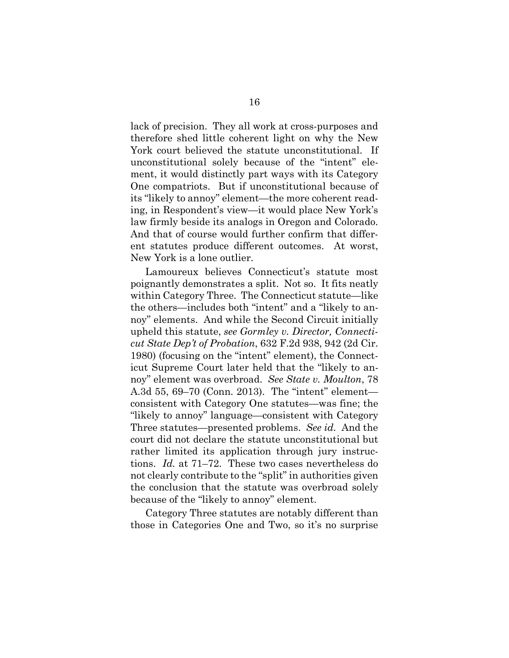lack of precision. They all work at cross-purposes and therefore shed little coherent light on why the New York court believed the statute unconstitutional. If unconstitutional solely because of the "intent" element, it would distinctly part ways with its Category One compatriots. But if unconstitutional because of its "likely to annoy" element—the more coherent reading, in Respondent's view—it would place New York's law firmly beside its analogs in Oregon and Colorado. And that of course would further confirm that different statutes produce different outcomes. At worst, New York is a lone outlier.

Lamoureux believes Connecticut's statute most poignantly demonstrates a split. Not so. It fits neatly within Category Three. The Connecticut statute—like the others—includes both "intent" and a "likely to annoy" elements. And while the Second Circuit initially upheld this statute, *see Gormley v. Director, Connecticut State Dep't of Probation*, 632 F.2d 938, 942 (2d Cir. 1980) (focusing on the "intent" element), the Connecticut Supreme Court later held that the "likely to annoy" element was overbroad. *See State v. Moulton*, 78 A.3d 55, 69–70 (Conn. 2013). The "intent" element consistent with Category One statutes—was fine; the "likely to annoy" language—consistent with Category Three statutes—presented problems. *See id.* And the court did not declare the statute unconstitutional but rather limited its application through jury instructions. *Id.* at 71–72. These two cases nevertheless do not clearly contribute to the "split" in authorities given the conclusion that the statute was overbroad solely because of the "likely to annoy" element.

Category Three statutes are notably different than those in Categories One and Two, so it's no surprise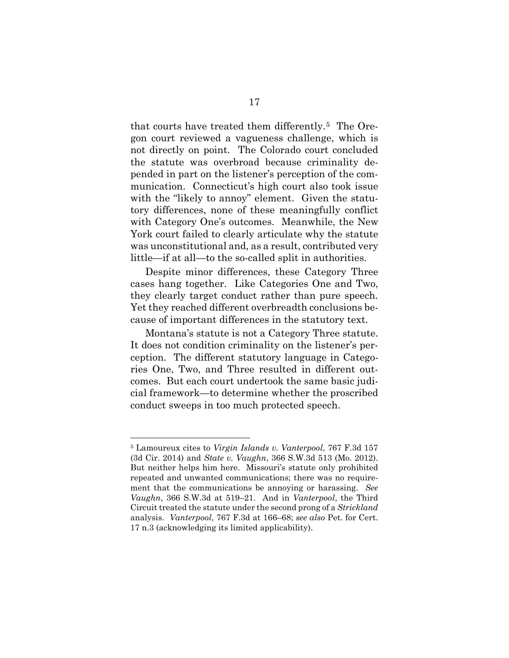that courts have treated them differently.[5](#page-28-0) The Oregon court reviewed a vagueness challenge, which is not directly on point. The Colorado court concluded the statute was overbroad because criminality depended in part on the listener's perception of the communication. Connecticut's high court also took issue with the "likely to annoy" element. Given the statutory differences, none of these meaningfully conflict with Category One's outcomes. Meanwhile, the New York court failed to clearly articulate why the statute was unconstitutional and, as a result, contributed very little—if at all—to the so-called split in authorities.

Despite minor differences, these Category Three cases hang together. Like Categories One and Two, they clearly target conduct rather than pure speech. Yet they reached different overbreadth conclusions because of important differences in the statutory text.

Montana's statute is not a Category Three statute. It does not condition criminality on the listener's perception. The different statutory language in Categories One, Two, and Three resulted in different outcomes. But each court undertook the same basic judicial framework—to determine whether the proscribed conduct sweeps in too much protected speech.

<span id="page-28-0"></span><sup>5</sup> Lamoureux cites to *Virgin Islands v. Vanterpool*, 767 F.3d 157 (3d Cir. 2014) and *State v. Vaughn*, 366 S.W.3d 513 (Mo. 2012). But neither helps him here. Missouri's statute only prohibited repeated and unwanted communications; there was no requirement that the communications be annoying or harassing. *See Vaughn*, 366 S.W.3d at 519–21. And in *Vanterpool*, the Third Circuit treated the statute under the second prong of a *Strickland*  analysis. *Vanterpool*, 767 F.3d at 166–68; *see also* Pet. for Cert. 17 n.3 (acknowledging its limited applicability).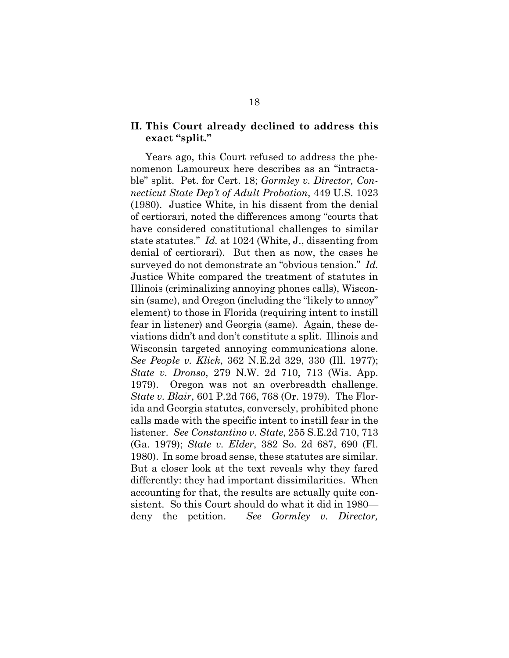### **II. This Court already declined to address this exact "split."**

Years ago, this Court refused to address the phenomenon Lamoureux here describes as an "intractable" split. Pet. for Cert. 18; *Gormley v. Director, Connecticut State Dep't of Adult Probation*, 449 U.S. 1023 (1980). Justice White, in his dissent from the denial of certiorari, noted the differences among "courts that have considered constitutional challenges to similar state statutes." *Id.* at 1024 (White, J., dissenting from denial of certiorari). But then as now, the cases he surveyed do not demonstrate an "obvious tension." *Id.*  Justice White compared the treatment of statutes in Illinois (criminalizing annoying phones calls), Wisconsin (same), and Oregon (including the "likely to annoy" element) to those in Florida (requiring intent to instill fear in listener) and Georgia (same). Again, these deviations didn't and don't constitute a split. Illinois and Wisconsin targeted annoying communications alone. *See People v. Klick*, 362 N.E.2d 329, 330 (Ill. 1977); *State v. Dronso*, 279 N.W. 2d 710, 713 (Wis. App. 1979). Oregon was not an overbreadth challenge. *State v. Blair*, 601 P.2d 766, 768 (Or. 1979). The Florida and Georgia statutes, conversely, prohibited phone calls made with the specific intent to instill fear in the listener. *See Constantino v. State*, 255 S.E.2d 710, 713 (Ga. 1979); *State v. Elder*, 382 So. 2d 687, 690 (Fl. 1980). In some broad sense, these statutes are similar. But a closer look at the text reveals why they fared differently: they had important dissimilarities. When accounting for that, the results are actually quite consistent. So this Court should do what it did in 1980 deny the petition. *See Gormley v. Director,*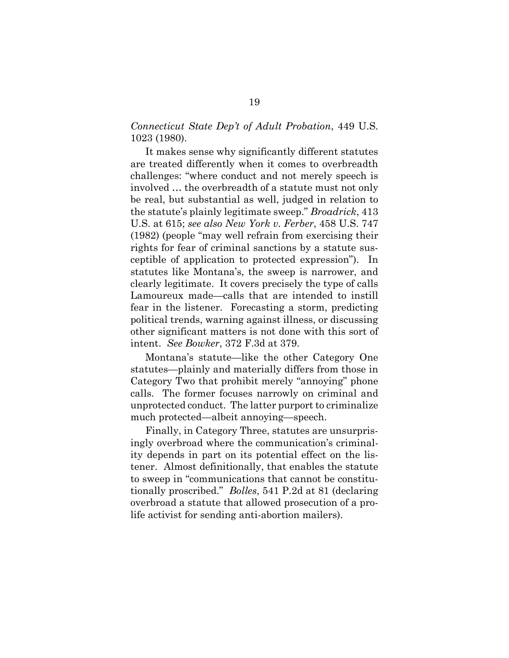### *Connecticut State Dep't of Adult Probation*, 449 U.S. 1023 (1980).

It makes sense why significantly different statutes are treated differently when it comes to overbreadth challenges: "where conduct and not merely speech is involved … the overbreadth of a statute must not only be real, but substantial as well, judged in relation to the statute's plainly legitimate sweep." *Broadrick*, 413 U.S. at 615; *see also New York v. Ferber*, 458 U.S. 747 (1982) (people "may well refrain from exercising their rights for fear of criminal sanctions by a statute susceptible of application to protected expression"). In statutes like Montana's, the sweep is narrower, and clearly legitimate. It covers precisely the type of calls Lamoureux made—calls that are intended to instill fear in the listener. Forecasting a storm, predicting political trends, warning against illness, or discussing other significant matters is not done with this sort of intent. *See Bowker*, 372 F.3d at 379.

Montana's statute—like the other Category One statutes—plainly and materially differs from those in Category Two that prohibit merely "annoying" phone calls. The former focuses narrowly on criminal and unprotected conduct. The latter purport to criminalize much protected—albeit annoying—speech.

Finally, in Category Three, statutes are unsurprisingly overbroad where the communication's criminality depends in part on its potential effect on the listener. Almost definitionally, that enables the statute to sweep in "communications that cannot be constitutionally proscribed." *Bolles*, 541 P.2d at 81 (declaring overbroad a statute that allowed prosecution of a prolife activist for sending anti-abortion mailers).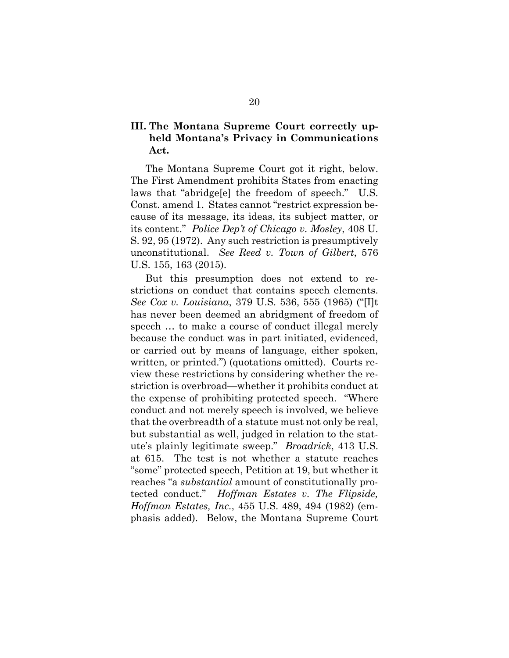## **III. The Montana Supreme Court correctly upheld Montana's Privacy in Communications Act.**

The Montana Supreme Court got it right, below. The First Amendment prohibits States from enacting laws that "abridge[e] the freedom of speech." U.S. Const. amend 1. States cannot "restrict expression because of its message, its ideas, its subject matter, or its content." *Police Dep't of Chicago v. Mosley*, 408 U. S. 92, 95 (1972). Any such restriction is presumptively unconstitutional. *See Reed v. Town of Gilbert*, 576 U.S. 155, 163 (2015).

But this presumption does not extend to restrictions on conduct that contains speech elements. *See Cox v. Louisiana*, 379 U.S. 536, 555 (1965) ("[I]t has never been deemed an abridgment of freedom of speech … to make a course of conduct illegal merely because the conduct was in part initiated, evidenced, or carried out by means of language, either spoken, written, or printed.") (quotations omitted). Courts review these restrictions by considering whether the restriction is overbroad—whether it prohibits conduct at the expense of prohibiting protected speech. "Where conduct and not merely speech is involved, we believe that the overbreadth of a statute must not only be real, but substantial as well, judged in relation to the statute's plainly legitimate sweep." *Broadrick*, 413 U.S. at 615. The test is not whether a statute reaches "some" protected speech, Petition at 19, but whether it reaches "a *substantial* amount of constitutionally protected conduct." *Hoffman Estates v. The Flipside, Hoffman Estates, Inc.*, 455 U.S. 489, 494 (1982) (emphasis added). Below, the Montana Supreme Court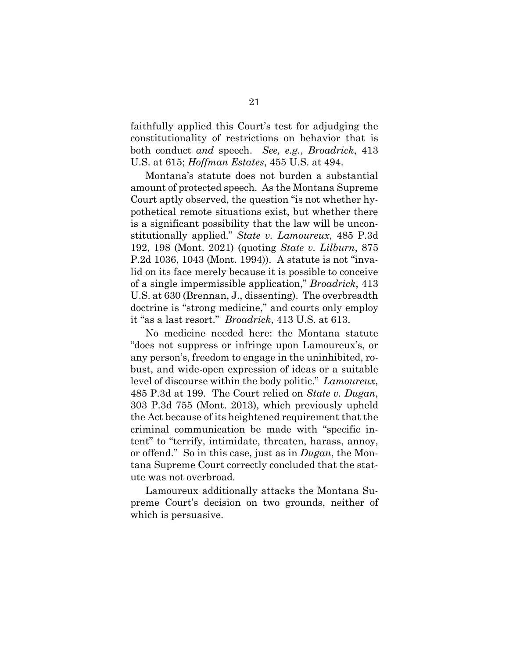faithfully applied this Court's test for adjudging the constitutionality of restrictions on behavior that is both conduct *and* speech. *See, e.g.*, *Broadrick*, 413 U.S. at 615; *Hoffman Estates*, 455 U.S. at 494.

Montana's statute does not burden a substantial amount of protected speech. As the Montana Supreme Court aptly observed, the question "is not whether hypothetical remote situations exist, but whether there is a significant possibility that the law will be unconstitutionally applied." *State v. Lamoureux*, 485 P.3d 192, 198 (Mont. 2021) (quoting *State v. Lilburn*, 875 P.2d 1036, 1043 (Mont. 1994)). A statute is not "invalid on its face merely because it is possible to conceive of a single impermissible application," *Broadrick*, 413 U.S. at 630 (Brennan, J., dissenting). The overbreadth doctrine is "strong medicine," and courts only employ it "as a last resort." *Broadrick*, 413 U.S. at 613.

No medicine needed here: the Montana statute "does not suppress or infringe upon Lamoureux's, or any person's, freedom to engage in the uninhibited, robust, and wide-open expression of ideas or a suitable level of discourse within the body politic." *Lamoureux*, 485 P.3d at 199. The Court relied on *State v. Dugan*, 303 P.3d 755 (Mont. 2013), which previously upheld the Act because of its heightened requirement that the criminal communication be made with "specific intent" to "terrify, intimidate, threaten, harass, annoy, or offend." So in this case, just as in *Dugan*, the Montana Supreme Court correctly concluded that the statute was not overbroad.

Lamoureux additionally attacks the Montana Supreme Court's decision on two grounds, neither of which is persuasive.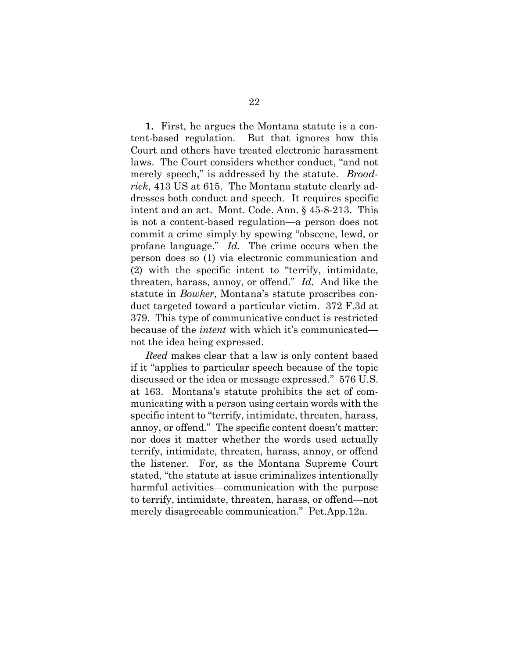**1.** First, he argues the Montana statute is a content-based regulation. But that ignores how this Court and others have treated electronic harassment laws. The Court considers whether conduct, "and not merely speech," is addressed by the statute. *Broadrick*, 413 US at 615. The Montana statute clearly addresses both conduct and speech. It requires specific intent and an act. Mont. Code. Ann. § 45-8-213. This is not a content-based regulation—a person does not commit a crime simply by spewing "obscene, lewd, or profane language." *Id.* The crime occurs when the person does so (1) via electronic communication and (2) with the specific intent to "terrify, intimidate, threaten, harass, annoy, or offend." *Id.* And like the statute in *Bowker*, Montana's statute proscribes conduct targeted toward a particular victim. 372 F.3d at 379. This type of communicative conduct is restricted because of the *intent* with which it's communicated not the idea being expressed.

*Reed* makes clear that a law is only content based if it "applies to particular speech because of the topic discussed or the idea or message expressed." 576 U.S. at 163. Montana's statute prohibits the act of communicating with a person using certain words with the specific intent to "terrify, intimidate, threaten, harass, annoy, or offend." The specific content doesn't matter; nor does it matter whether the words used actually terrify, intimidate, threaten, harass, annoy, or offend the listener. For, as the Montana Supreme Court stated, "the statute at issue criminalizes intentionally harmful activities—communication with the purpose to terrify, intimidate, threaten, harass, or offend—not merely disagreeable communication." Pet.App.12a.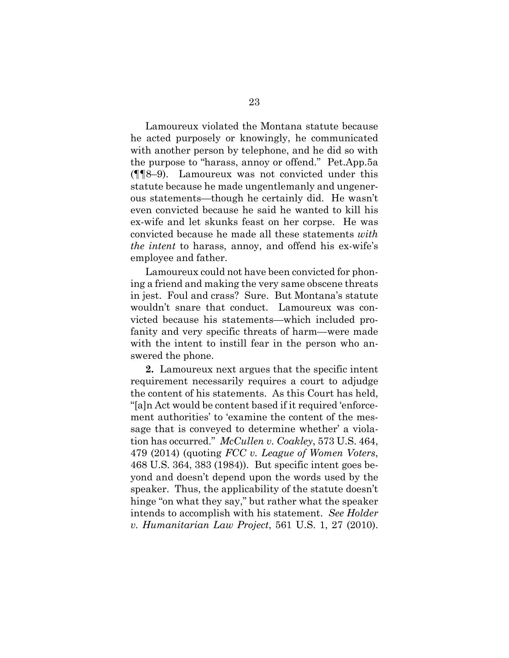Lamoureux violated the Montana statute because he acted purposely or knowingly, he communicated with another person by telephone, and he did so with the purpose to "harass, annoy or offend." Pet.App.5a (¶¶8–9). Lamoureux was not convicted under this statute because he made ungentlemanly and ungenerous statements—though he certainly did. He wasn't even convicted because he said he wanted to kill his ex-wife and let skunks feast on her corpse. He was convicted because he made all these statements *with the intent* to harass, annoy, and offend his ex-wife's employee and father.

Lamoureux could not have been convicted for phoning a friend and making the very same obscene threats in jest. Foul and crass? Sure. But Montana's statute wouldn't snare that conduct. Lamoureux was convicted because his statements—which included profanity and very specific threats of harm—were made with the intent to instill fear in the person who answered the phone.

**2.** Lamoureux next argues that the specific intent requirement necessarily requires a court to adjudge the content of his statements. As this Court has held, "[a]n Act would be content based if it required 'enforcement authorities' to 'examine the content of the message that is conveyed to determine whether' a violation has occurred." *McCullen v. Coakley*, 573 U.S. 464, 479 (2014) (quoting *FCC v. League of Women Voters*, 468 U.S. 364, 383 (1984)). But specific intent goes beyond and doesn't depend upon the words used by the speaker. Thus, the applicability of the statute doesn't hinge "on what they say," but rather what the speaker intends to accomplish with his statement. *See Holder v. Humanitarian Law Project*, 561 U.S. 1, 27 (2010).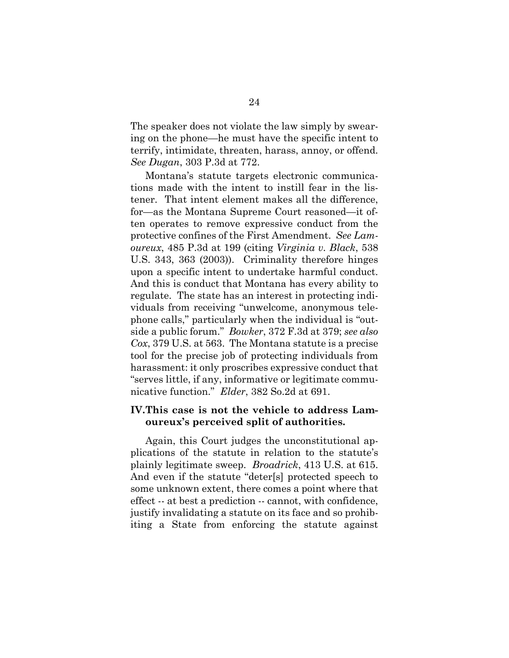The speaker does not violate the law simply by swearing on the phone—he must have the specific intent to terrify, intimidate, threaten, harass, annoy, or offend. *See Dugan*, 303 P.3d at 772.

Montana's statute targets electronic communications made with the intent to instill fear in the listener. That intent element makes all the difference, for—as the Montana Supreme Court reasoned—it often operates to remove expressive conduct from the protective confines of the First Amendment. *See Lamoureux*, 485 P.3d at 199 (citing *Virginia v. Black*, 538 U.S. 343, 363 (2003)). Criminality therefore hinges upon a specific intent to undertake harmful conduct. And this is conduct that Montana has every ability to regulate. The state has an interest in protecting individuals from receiving "unwelcome, anonymous telephone calls," particularly when the individual is "outside a public forum." *Bowker*, 372 F.3d at 379; *see also Cox*, 379 U.S. at 563. The Montana statute is a precise tool for the precise job of protecting individuals from harassment: it only proscribes expressive conduct that "serves little, if any, informative or legitimate communicative function." *Elder*, 382 So.2d at 691.

### **IV.This case is not the vehicle to address Lamoureux's perceived split of authorities.**

Again, this Court judges the unconstitutional applications of the statute in relation to the statute's plainly legitimate sweep. *Broadrick*, 413 U.S. at 615. And even if the statute "deter[s] protected speech to some unknown extent, there comes a point where that effect -- at best a prediction -- cannot, with confidence, justify invalidating a statute on its face and so prohibiting a State from enforcing the statute against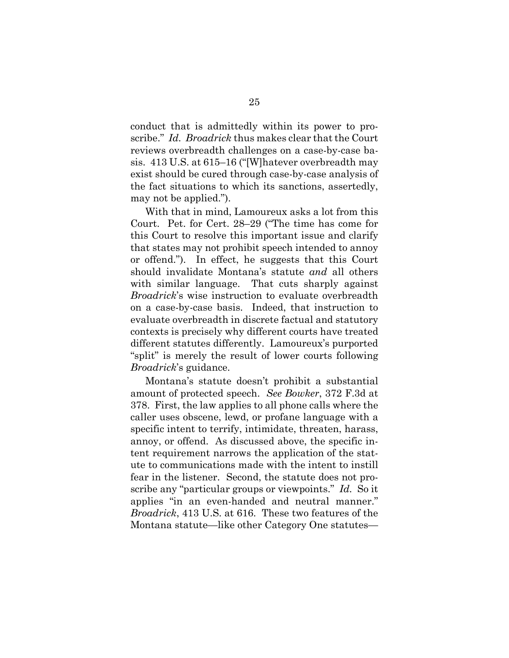conduct that is admittedly within its power to proscribe." *Id. Broadrick* thus makes clear that the Court reviews overbreadth challenges on a case-by-case basis. 413 U.S. at 615–16 ("[W]hatever overbreadth may exist should be cured through case-by-case analysis of the fact situations to which its sanctions, assertedly, may not be applied.").

With that in mind, Lamoureux asks a lot from this Court. Pet. for Cert. 28–29 ("The time has come for this Court to resolve this important issue and clarify that states may not prohibit speech intended to annoy or offend."). In effect, he suggests that this Court should invalidate Montana's statute *and* all others with similar language. That cuts sharply against *Broadrick*'s wise instruction to evaluate overbreadth on a case-by-case basis. Indeed, that instruction to evaluate overbreadth in discrete factual and statutory contexts is precisely why different courts have treated different statutes differently. Lamoureux's purported "split" is merely the result of lower courts following *Broadrick*'s guidance.

Montana's statute doesn't prohibit a substantial amount of protected speech. *See Bowker*, 372 F.3d at 378. First, the law applies to all phone calls where the caller uses obscene, lewd, or profane language with a specific intent to terrify, intimidate, threaten, harass, annoy, or offend. As discussed above, the specific intent requirement narrows the application of the statute to communications made with the intent to instill fear in the listener. Second, the statute does not proscribe any "particular groups or viewpoints." *Id.* So it applies "in an even-handed and neutral manner." *Broadrick*, 413 U.S. at 616. These two features of the Montana statute—like other Category One statutes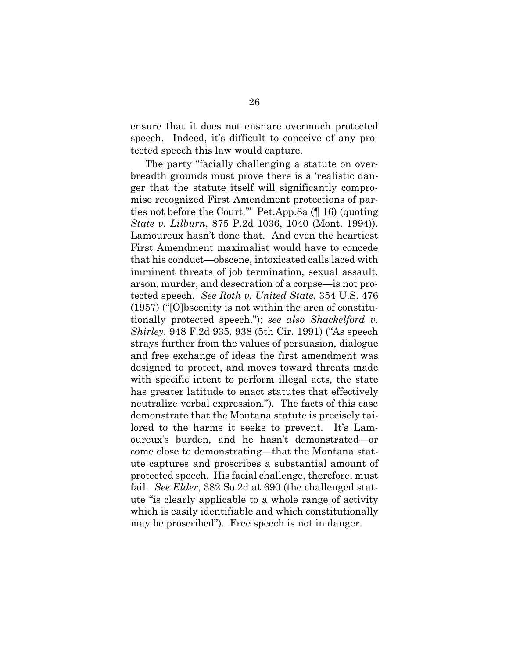ensure that it does not ensnare overmuch protected speech. Indeed, it's difficult to conceive of any protected speech this law would capture.

The party "facially challenging a statute on overbreadth grounds must prove there is a 'realistic danger that the statute itself will significantly compromise recognized First Amendment protections of parties not before the Court.'" Pet.App.8a (¶ 16) (quoting *State v. Lilburn*, 875 P.2d 1036, 1040 (Mont. 1994)). Lamoureux hasn't done that. And even the heartiest First Amendment maximalist would have to concede that his conduct—obscene, intoxicated calls laced with imminent threats of job termination, sexual assault, arson, murder, and desecration of a corpse—is not protected speech. *See Roth v. United State*, 354 U.S. 476 (1957) ("[O]bscenity is not within the area of constitutionally protected speech."); *see also Shackelford v. Shirley*, 948 F.2d 935, 938 (5th Cir. 1991) ("As speech strays further from the values of persuasion, dialogue and free exchange of ideas the first amendment was designed to protect, and moves toward threats made with specific intent to perform illegal acts, the state has greater latitude to enact statutes that effectively neutralize verbal expression."). The facts of this case demonstrate that the Montana statute is precisely tailored to the harms it seeks to prevent. It's Lamoureux's burden, and he hasn't demonstrated—or come close to demonstrating—that the Montana statute captures and proscribes a substantial amount of protected speech. His facial challenge, therefore, must fail. *See Elder*, 382 So.2d at 690 (the challenged statute "is clearly applicable to a whole range of activity which is easily identifiable and which constitutionally may be proscribed"). Free speech is not in danger.